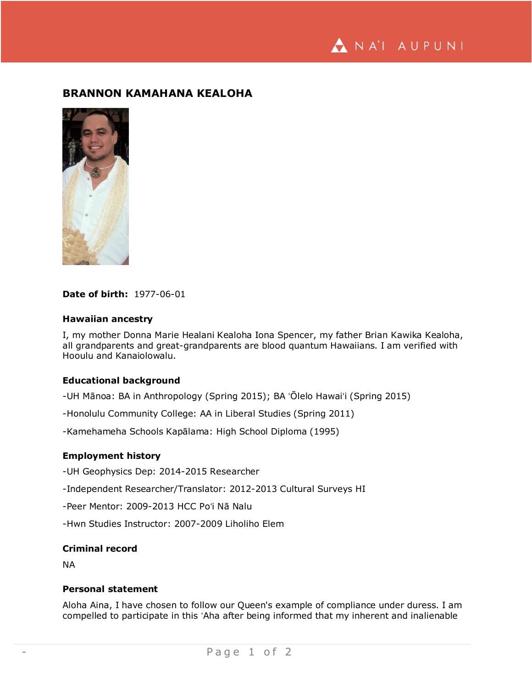ANA'I AUPUNI

# **BRANNON KAMAHANA KEALOHA**



### **Date of birth:** 1977-06-01

### **Hawaiian ancestry**

I, my mother Donna Marie Healani Kealoha Iona Spencer, my father Brian Kawika Kealoha, all grandparents and great-grandparents are blood quantum Hawaiians. I am verified with Hooulu and Kanaiolowalu.

### **Educational background**

-UH Mānoa: BA in Anthropology (Spring 2015); BA ʻŌlelo Hawaiʻi (Spring 2015)

-Honolulu Community College: AA in Liberal Studies (Spring 2011)

-Kamehameha Schools Kapālama: High School Diploma (1995)

## **Employment history**

-UH Geophysics Dep: 2014-2015 Researcher

-Independent Researcher/Translator: 2012-2013 Cultural Surveys HI

-Peer Mentor: 2009-2013 HCC Poʻi Nā Nalu

-Hwn Studies Instructor: 2007-2009 Liholiho Elem

### **Criminal record**

NA

## **Personal statement**

Aloha Aina, I have chosen to follow our Queen's example of compliance under duress. I am compelled to participate in this ʻAha after being informed that my inherent and inalienable